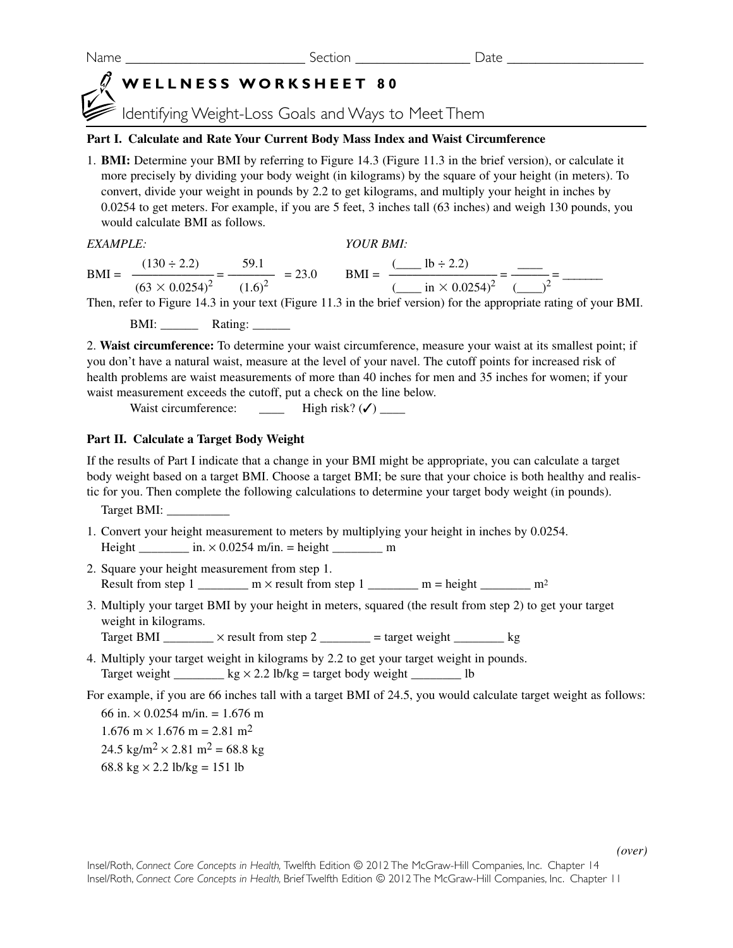Name **Name Name** Section **Section Date**  $\alpha$ 

# **WELLNESS WORKSHEET 80**

Identifying Weight-Loss Goals and Ways to Meet Them

## **Part I. Calculate and Rate Your Current Body Mass Index and Waist Circumference**

1. **BMI:** Determine your BMI by referring to Figure 14.3 (Figure 11.3 in the brief version), or calculate it more precisely by dividing your body weight (in kilograms) by the square of your height (in meters). To convert, divide your weight in pounds by 2.2 to get kilograms, and multiply your height in inches by 0.0254 to get meters. For example, if you are 5 feet, 3 inches tall (63 inches) and weigh 130 pounds, you would calculate BMI as follows.

*EXAMPLE: YOUR BMI:* 

 $(130 \div 2.2)$  59.1  $\qquad \qquad$   $($   $\qquad \qquad$   $\qquad \qquad$   $\qquad \qquad$   $\qquad \qquad$   $\qquad \qquad$  $\text{BMI} = \frac{1}{\text{MeV}} = \frac{1}{\text{MeV}} = \frac{23.0}{\text{MeV}} = 23.0$  $(63 \times 0.0254)^2$   $(1.6)^2$   $(\underline{\hspace{1cm}} \text{in} \times 0.0254)^2$   $(\underline{\hspace{1cm}})^2$ 

Then, refer to Figure 14.3 in your text (Figure 11.3 in the brief version) for the appropriate rating of your BMI.

BMI: \_\_\_\_\_\_ Rating: \_\_\_\_\_\_

2. **Waist circumference:** To determine your waist circumference, measure your waist at its smallest point; if you don't have a natural waist, measure at the level of your navel. The cutoff points for increased risk of health problems are waist measurements of more than 40 inches for men and 35 inches for women; if your waist measurement exceeds the cutoff, put a check on the line below.

Waist circumference:  $\qquad \qquad$  High risk? ( $\checkmark$ ) \_\_\_\_\_

# **Part II. Calculate a Target Body Weight**

If the results of Part I indicate that a change in your BMI might be appropriate, you can calculate a target body weight based on a target BMI. Choose a target BMI; be sure that your choice is both healthy and realistic for you. Then complete the following calculations to determine your target body weight (in pounds).

Target BMI: \_\_\_\_\_\_\_\_\_\_

- 1. Convert your height measurement to meters by multiplying your height in inches by 0.0254. Height  $\frac{m}{2}$  in.  $\times$  0.0254 m/in. = height  $\frac{m}{2}$  m
- 2. Square your height measurement from step 1. Result from step 1 \_\_\_\_\_\_\_\_ m × result from step 1  $\qquad$  m = height  $\qquad$  m<sup>2</sup>
- 3. Multiply your target BMI by your height in meters, squared (the result from step 2) to get your target weight in kilograms.

Target BMI  $\frac{\ }{\ }$   $\times$  result from step 2  $\frac{\ }{\ }$  = target weight  $\frac{\ }{\ }$  kg

4. Multiply your target weight in kilograms by 2.2 to get your target weight in pounds. Target weight  $\_\_\_\_\_\$  kg  $\times$  2.2 lb/kg = target body weight  $\_\_\_\_\_\_\$ lb

For example, if you are 66 inches tall with a target BMI of 24.5, you would calculate target weight as follows:

66 in.  $\times$  0.0254 m/in. = 1.676 m  $1.676$  m  $\times$  1.676 m = 2.81 m<sup>2</sup>  $24.5 \text{ kg/m}^2 \times 2.81 \text{ m}^2 = 68.8 \text{ kg}$ 68.8 kg  $\times$  2.2 lb/kg = 151 lb